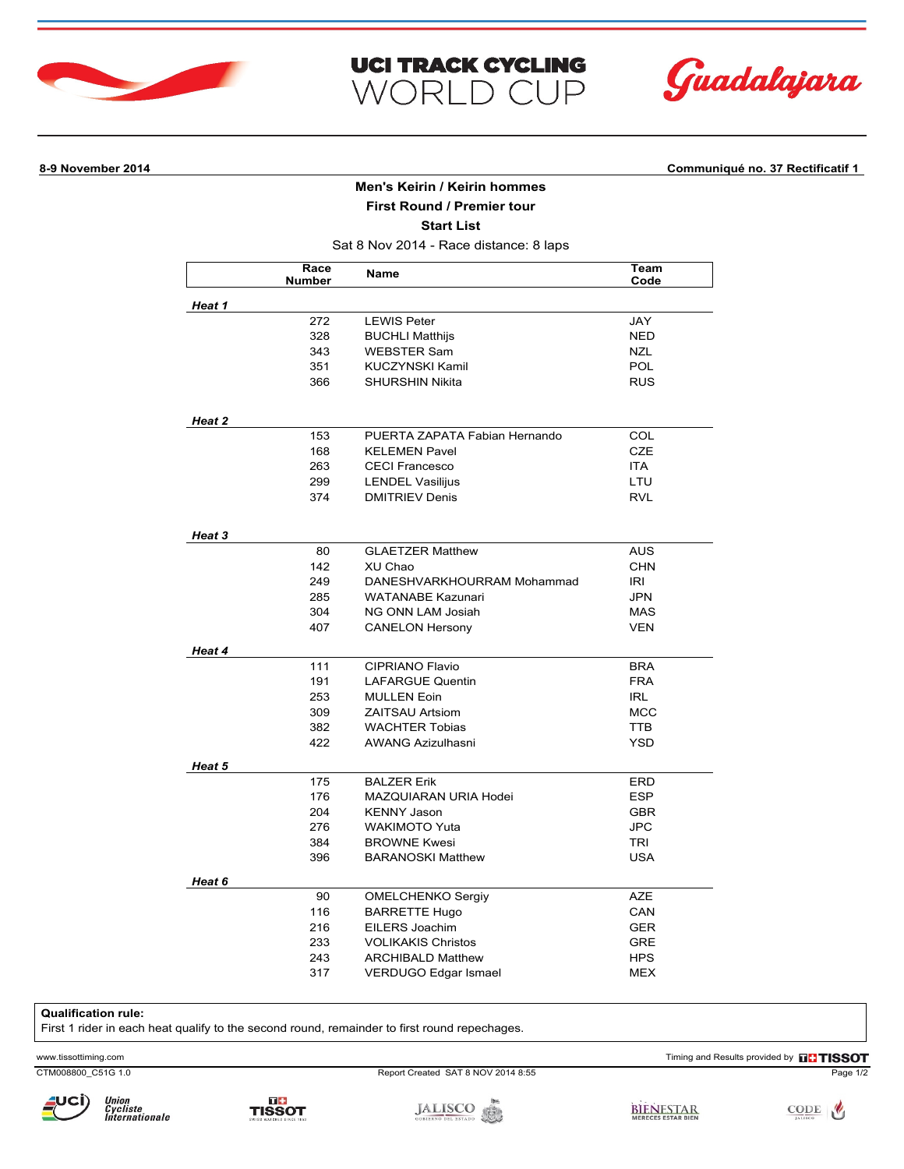





**8-9 November 2014 Communiqué no. 37 Rectificatif 1**

## **Men's Keirin / Keirin hommes**

**First Round / Premier tour**

**Start List**

Sat 8 Nov 2014 - Race distance: 8 laps

|        | Race<br><b>Number</b> | Name                          | Team<br>Code |
|--------|-----------------------|-------------------------------|--------------|
| Heat 1 |                       |                               |              |
|        | 272                   | <b>LEWIS Peter</b>            | JAY          |
|        | 328                   | <b>BUCHLI Matthijs</b>        | NED          |
|        | 343                   | <b>WEBSTER Sam</b>            | <b>NZL</b>   |
|        | 351                   | <b>KUCZYNSKI Kamil</b>        | <b>POL</b>   |
|        | 366                   | <b>SHURSHIN Nikita</b>        | <b>RUS</b>   |
| Heat 2 |                       |                               |              |
|        | 153                   | PUERTA ZAPATA Fabian Hernando | <b>COL</b>   |
|        | 168                   | <b>KELEMEN Pavel</b>          | <b>CZE</b>   |
|        | 263                   | <b>CECI Francesco</b>         | <b>ITA</b>   |
|        | 299                   | <b>LENDEL Vasilijus</b>       | LTU          |
|        | 374                   | <b>DMITRIEV Denis</b>         | <b>RVL</b>   |
| Heat 3 |                       |                               |              |
|        | 80                    | <b>GLAETZER Matthew</b>       | <b>AUS</b>   |
|        | 142                   | XU Chao                       | <b>CHN</b>   |
|        | 249                   | DANESHVARKHOURRAM Mohammad    | IRI          |
|        | 285                   | <b>WATANABE Kazunari</b>      | <b>JPN</b>   |
|        | 304                   | NG ONN LAM Josiah             | <b>MAS</b>   |
|        | 407                   | <b>CANELON Hersony</b>        | VEN          |
| Heat 4 |                       |                               |              |
|        | 111                   | <b>CIPRIANO Flavio</b>        | <b>BRA</b>   |
|        | 191                   | <b>LAFARGUE Quentin</b>       | <b>FRA</b>   |
|        | 253                   | <b>MULLEN Eoin</b>            | <b>IRL</b>   |
|        | 309                   | <b>ZAITSAU Artsiom</b>        | <b>MCC</b>   |
|        | 382                   | <b>WACHTER Tobias</b>         | <b>TTB</b>   |
|        | 422                   | <b>AWANG Azizulhasni</b>      | YSD          |
| Heat 5 |                       |                               |              |
|        | 175                   | <b>BALZER Erik</b>            | ERD          |
|        | 176                   | <b>MAZQUIARAN URIA Hodei</b>  | <b>ESP</b>   |
|        | 204                   | <b>KENNY Jason</b>            | <b>GBR</b>   |
|        | 276                   | <b>WAKIMOTO Yuta</b>          | <b>JPC</b>   |
|        | 384                   | <b>BROWNE Kwesi</b>           | <b>TRI</b>   |
|        | 396                   | <b>BARANOSKI Matthew</b>      | <b>USA</b>   |
| Heat 6 |                       |                               |              |
|        | 90                    | OMELCHENKO Sergiy             | <b>AZE</b>   |
|        | 116                   | <b>BARRETTE Hugo</b>          | CAN          |
|        | 216                   | EILERS Joachim                | <b>GER</b>   |
|        | 233                   | <b>VOLIKAKIS Christos</b>     | GRE          |
|        |                       |                               |              |
|        | 243                   | <b>ARCHIBALD Matthew</b>      | <b>HPS</b>   |

## **Qualification rule:**

First 1 rider in each heat qualify to the second round, remainder to first round repechages.

TISSOT

Union<br>Cycliste<br>Internationale

CTM008800\_C51G 1.0 Report Created SAT 8 NOV 2014 8:55 Page 1/2

www.tissottiming.com Timing and Results provided by **THESOT**